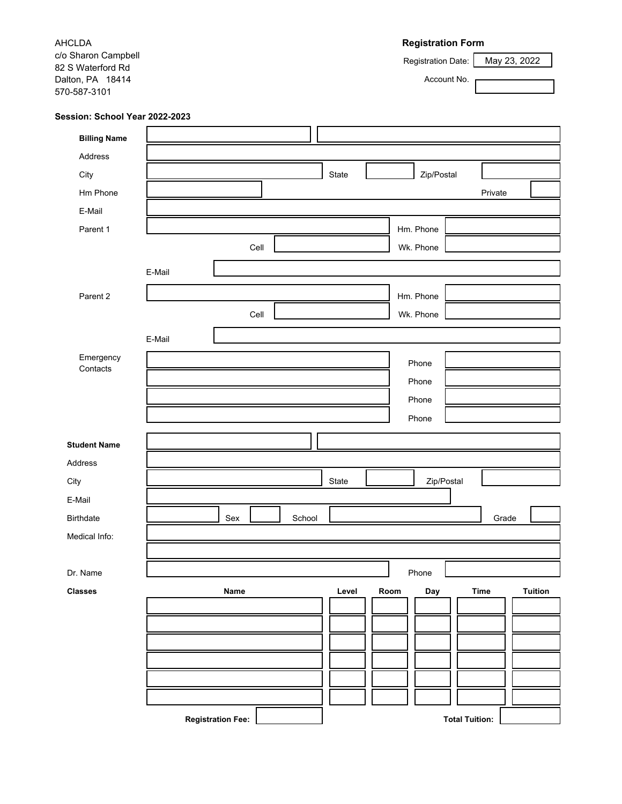**Registration Form** Registration Date: Account No. AHCLDA c/o Sharon Campbell 82 S Waterford Rd Dalton, PA 18414 570-587-3101 May 23, 2022 **Session: School Year 2022-2023 Billing Name**  Address City **City City** State **Zip/Postal** Hm Phone Wk. Phone Parent 1 **Hm. Phone** Parent 2 Hm. Phone Private E-Mail Cell Cell Emergency <u>Designed</u> Phone<br>Contacts Phone Phone Phone Phone Wk. Phone E-Mail E-Mail **Student Name** Address Birthdate School Grade Medical Info: Dr. Name Phone Phone Phone Phone Phone Phone Phone Phone Phone Phone Phone Phone Phone Phone Phone Phone Phone Phone Phone Phone Phone Phone Phone Phone Phone Phone Phone Phone Phone Phone Phone Phone Phone Phone Phone Pho **Classes Name Level Room Day Time Tuition Registration Fee: Total Tuition:** City **State Network (2009)** State State State State State State State State State State State State State State State State State State State State State State State State State State State State State State State State St E-Mail Sex